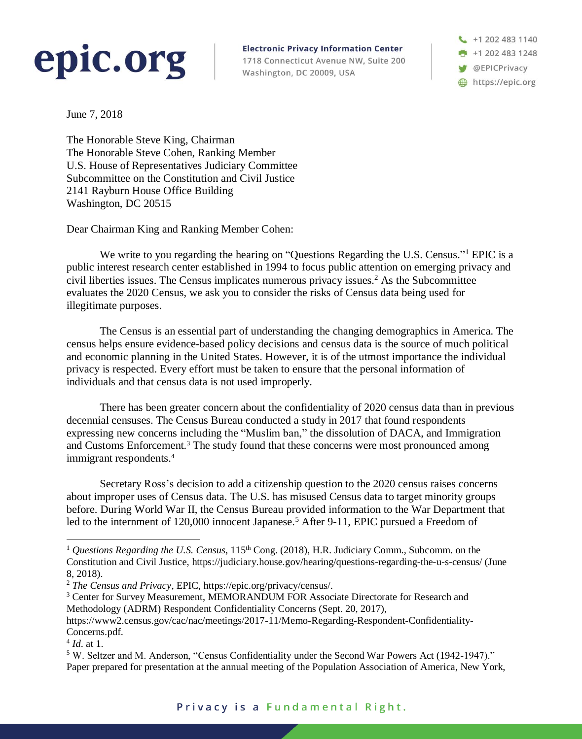## epic.org

**Electronic Privacy Information Center** 1718 Connecticut Avenue NW, Suite 200 Washington, DC 20009, USA

+1 202 483 1140  $+12024831248$ **SEPICPrivacy** https://epic.org

June 7, 2018

The Honorable Steve King, Chairman The Honorable Steve Cohen, Ranking Member U.S. House of Representatives Judiciary Committee Subcommittee on the Constitution and Civil Justice 2141 Rayburn House Office Building Washington, DC 20515

Dear Chairman King and Ranking Member Cohen:

We write to you regarding the hearing on "Questions Regarding the U.S. Census."<sup>1</sup> EPIC is a public interest research center established in 1994 to focus public attention on emerging privacy and civil liberties issues. The Census implicates numerous privacy issues.<sup>2</sup> As the Subcommittee evaluates the 2020 Census, we ask you to consider the risks of Census data being used for illegitimate purposes.

The Census is an essential part of understanding the changing demographics in America. The census helps ensure evidence-based policy decisions and census data is the source of much political and economic planning in the United States. However, it is of the utmost importance the individual privacy is respected. Every effort must be taken to ensure that the personal information of individuals and that census data is not used improperly.

There has been greater concern about the confidentiality of 2020 census data than in previous decennial censuses. The Census Bureau conducted a study in 2017 that found respondents expressing new concerns including the "Muslim ban," the dissolution of DACA, and Immigration and Customs Enforcement.<sup>3</sup> The study found that these concerns were most pronounced among immigrant respondents.<sup>4</sup>

Secretary Ross's decision to add a citizenship question to the 2020 census raises concerns about improper uses of Census data. The U.S. has misused Census data to target minority groups before. During World War II, the Census Bureau provided information to the War Department that led to the internment of 120,000 innocent Japanese.<sup>5</sup> After 9-11, EPIC pursued a Freedom of

 $\overline{a}$ 

<sup>&</sup>lt;sup>1</sup> Questions Regarding the U.S. Census, 115<sup>th</sup> Cong. (2018), H.R. Judiciary Comm., Subcomm. on the Constitution and Civil Justice, https://judiciary.house.gov/hearing/questions-regarding-the-u-s-census/ (June 8, 2018).

<sup>2</sup> *The Census and Privacy*, EPIC, https://epic.org/privacy/census/.

<sup>&</sup>lt;sup>3</sup> Center for Survey Measurement, MEMORANDUM FOR Associate Directorate for Research and Methodology (ADRM) Respondent Confidentiality Concerns (Sept. 20, 2017),

https://www2.census.gov/cac/nac/meetings/2017-11/Memo-Regarding-Respondent-Confidentiality-Concerns.pdf.

<sup>4</sup> *Id*. at 1.

<sup>5</sup> W. Seltzer and M. Anderson, "Census Confidentiality under the Second War Powers Act (1942-1947)." Paper prepared for presentation at the annual meeting of the Population Association of America, New York,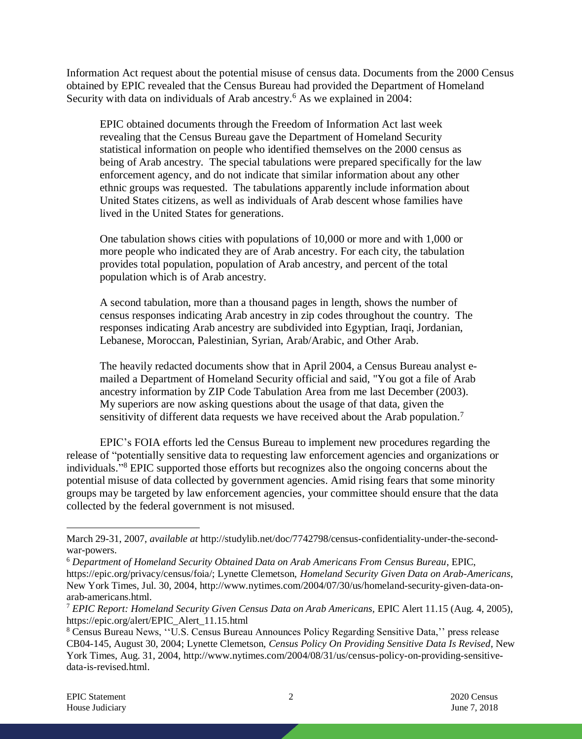Information Act request about the potential misuse of census data. Documents from the 2000 Census obtained by EPIC revealed that the Census Bureau had provided the Department of Homeland Security with data on individuals of Arab ancestry.<sup>6</sup> As we explained in 2004:

EPIC obtained documents through the Freedom of Information Act last week revealing that the Census Bureau gave the Department of Homeland Security statistical information on people who identified themselves on the 2000 census as being of Arab ancestry. The special tabulations were prepared specifically for the law enforcement agency, and do not indicate that similar information about any other ethnic groups was requested. The tabulations apparently include information about United States citizens, as well as individuals of Arab descent whose families have lived in the United States for generations.

One tabulation shows cities with populations of 10,000 or more and with 1,000 or more people who indicated they are of Arab ancestry. For each city, the tabulation provides total population, population of Arab ancestry, and percent of the total population which is of Arab ancestry.

A second tabulation, more than a thousand pages in length, shows the number of census responses indicating Arab ancestry in zip codes throughout the country. The responses indicating Arab ancestry are subdivided into Egyptian, Iraqi, Jordanian, Lebanese, Moroccan, Palestinian, Syrian, Arab/Arabic, and Other Arab.

The heavily redacted documents show that in April 2004, a Census Bureau analyst emailed a Department of Homeland Security official and said, "You got a file of Arab ancestry information by ZIP Code Tabulation Area from me last December (2003). My superiors are now asking questions about the usage of that data, given the sensitivity of different data requests we have received about the Arab population.<sup>7</sup>

EPIC's FOIA efforts led the Census Bureau to implement new procedures regarding the release of "potentially sensitive data to requesting law enforcement agencies and organizations or individuals." <sup>8</sup> EPIC supported those efforts but recognizes also the ongoing concerns about the potential misuse of data collected by government agencies. Amid rising fears that some minority groups may be targeted by law enforcement agencies, your committee should ensure that the data collected by the federal government is not misused.

 $\overline{a}$ March 29-31, 2007, *available at* http://studylib.net/doc/7742798/census-confidentiality-under-the-secondwar-powers.

<sup>6</sup> *Department of Homeland Security Obtained Data on Arab Americans From Census Bureau*, EPIC, https://epic.org/privacy/census/foia/; Lynette Clemetson, *Homeland Security Given Data on Arab-Americans*, New York Times, Jul. 30, 2004, http://www.nytimes.com/2004/07/30/us/homeland-security-given-data-onarab-americans.html.

<sup>7</sup> *EPIC Report: Homeland Security Given Census Data on Arab Americans,* EPIC Alert 11.15 (Aug. 4, 2005), https://epic.org/alert/EPIC\_Alert\_11.15.html

<sup>8</sup> Census Bureau News, ''U.S. Census Bureau Announces Policy Regarding Sensitive Data,'' press release CB04-145, August 30, 2004; Lynette Clemetson, *Census Policy On Providing Sensitive Data Is Revised*, New York Times, Aug. 31, 2004, http://www.nytimes.com/2004/08/31/us/census-policy-on-providing-sensitivedata-is-revised.html.